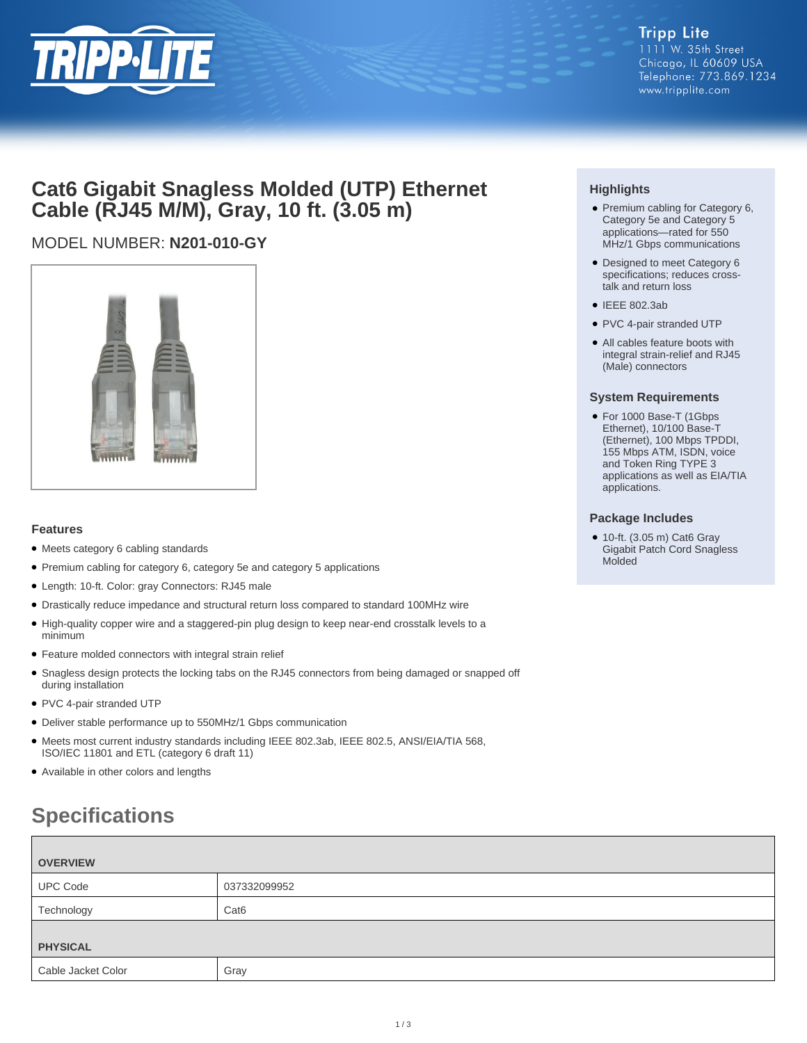

## **Cat6 Gigabit Snagless Molded (UTP) Ethernet Cable (RJ45 M/M), Gray, 10 ft. (3.05 m)**

## MODEL NUMBER: **N201-010-GY**



### **Features**

- Meets category 6 cabling standards
- Premium cabling for category 6, category 5e and category 5 applications
- Length: 10-ft. Color: gray Connectors: RJ45 male
- Drastically reduce impedance and structural return loss compared to standard 100MHz wire
- High-quality copper wire and a staggered-pin plug design to keep near-end crosstalk levels to a minimum
- Feature molded connectors with integral strain relief
- Snagless design protects the locking tabs on the RJ45 connectors from being damaged or snapped off during installation
- PVC 4-pair stranded UTP
- Deliver stable performance up to 550MHz/1 Gbps communication
- Meets most current industry standards including IEEE 802.3ab, IEEE 802.5, ANSI/EIA/TIA 568, ISO/IEC 11801 and ETL (category 6 draft 11)
- Available in other colors and lengths

# **Specifications**

| <b>OVERVIEW</b>  |  |  |
|------------------|--|--|
| 037332099952     |  |  |
| Cat <sub>6</sub> |  |  |
| <b>PHYSICAL</b>  |  |  |
| Gray             |  |  |
|                  |  |  |

### **Highlights**

- Premium cabling for Category 6, Category 5e and Category 5 applications—rated for 550 MHz/1 Gbps communications
- Designed to meet Category 6 specifications; reduces crosstalk and return loss
- IEEE 802.3ab
- PVC 4-pair stranded UTP
- All cables feature boots with integral strain-relief and RJ45 (Male) connectors

#### **System Requirements**

● For 1000 Base-T (1Gbps Ethernet), 10/100 Base-T (Ethernet), 100 Mbps TPDDI, 155 Mbps ATM, ISDN, voice and Token Ring TYPE 3 applications as well as EIA/TIA applications.

### **Package Includes**

● 10-ft. (3.05 m) Cat6 Gray Gigabit Patch Cord Snagless Molded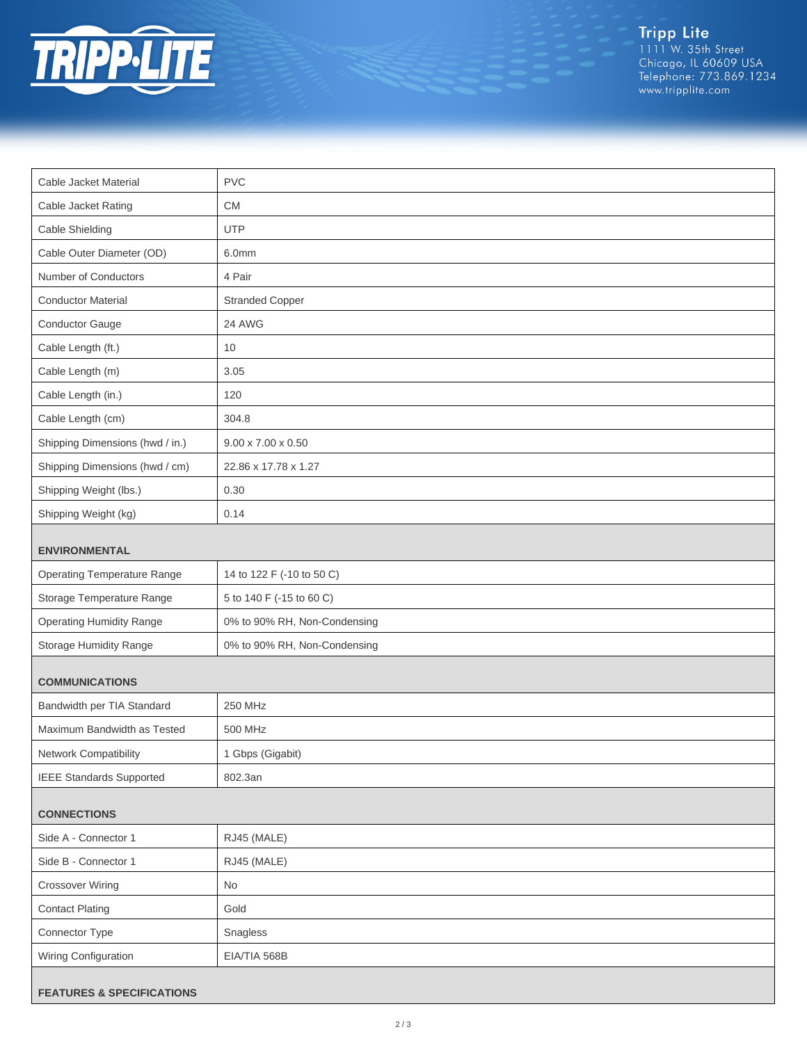

Tripp Lite<br>1111 W. 35th Street<br>Chicago, IL 60609 USA<br>Telephone: 773.869.1234<br>www.tripplite.com

| Cable Jacket Material                | <b>PVC</b>                     |  |
|--------------------------------------|--------------------------------|--|
| Cable Jacket Rating                  | CM                             |  |
| Cable Shielding                      | <b>UTP</b>                     |  |
| Cable Outer Diameter (OD)            | 6.0mm                          |  |
| Number of Conductors                 | 4 Pair                         |  |
| <b>Conductor Material</b>            | <b>Stranded Copper</b>         |  |
| Conductor Gauge                      | 24 AWG                         |  |
| Cable Length (ft.)                   | 10                             |  |
| Cable Length (m)                     | 3.05                           |  |
| Cable Length (in.)                   | 120                            |  |
| Cable Length (cm)                    | 304.8                          |  |
| Shipping Dimensions (hwd / in.)      | $9.00 \times 7.00 \times 0.50$ |  |
| Shipping Dimensions (hwd / cm)       | 22.86 x 17.78 x 1.27           |  |
| Shipping Weight (lbs.)               | 0.30                           |  |
| Shipping Weight (kg)                 | 0.14                           |  |
| <b>ENVIRONMENTAL</b>                 |                                |  |
| <b>Operating Temperature Range</b>   | 14 to 122 F (-10 to 50 C)      |  |
| Storage Temperature Range            | 5 to 140 F (-15 to 60 C)       |  |
| <b>Operating Humidity Range</b>      | 0% to 90% RH, Non-Condensing   |  |
| Storage Humidity Range               | 0% to 90% RH, Non-Condensing   |  |
| <b>COMMUNICATIONS</b>                |                                |  |
| Bandwidth per TIA Standard           | 250 MHz                        |  |
| Maximum Bandwidth as Tested          | 500 MHz                        |  |
| Network Compatibility                | 1 Gbps (Gigabit)               |  |
| <b>IEEE Standards Supported</b>      | 802.3an                        |  |
| <b>CONNECTIONS</b>                   |                                |  |
| Side A - Connector 1                 | RJ45 (MALE)                    |  |
| Side B - Connector 1                 | RJ45 (MALE)                    |  |
| <b>Crossover Wiring</b>              | No                             |  |
| <b>Contact Plating</b>               | Gold                           |  |
| Connector Type                       | Snagless                       |  |
| Wiring Configuration                 | EIA/TIA 568B                   |  |
| <b>FEATURES &amp; SPECIFICATIONS</b> |                                |  |